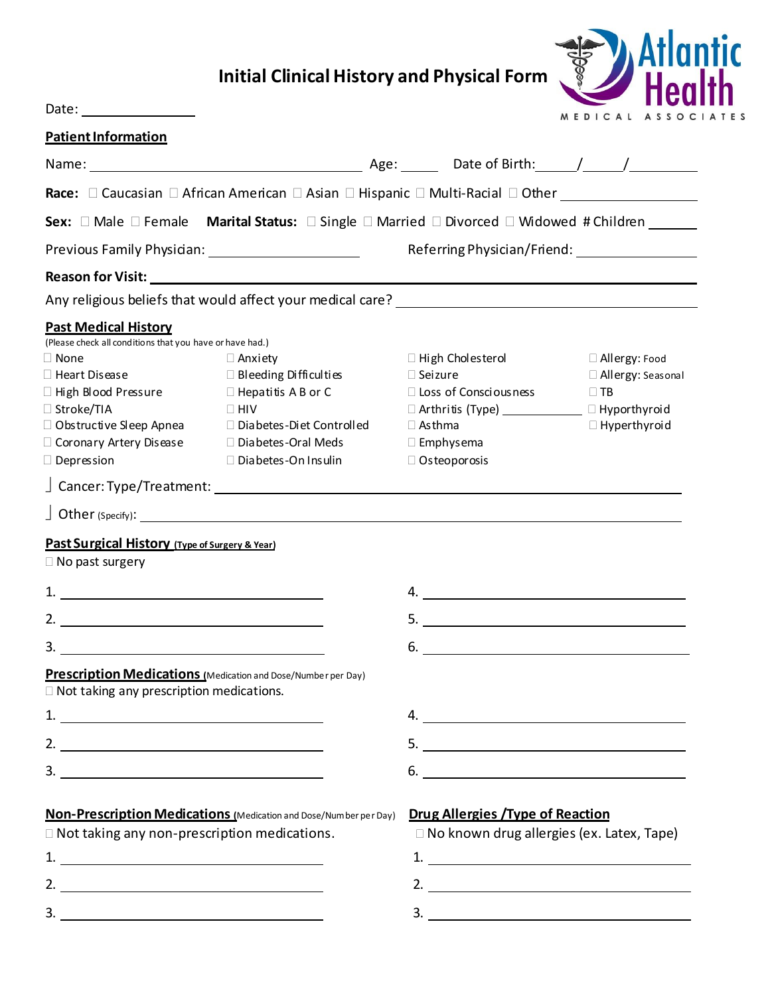## **Initial Clinical History and Physical Form**



Date:

| <u>Patient Information</u>                                                                                                                                                                                                                                                                                             |                                                                                                                                                                     |                                                                                                                                                                                         |                                                                            |  |
|------------------------------------------------------------------------------------------------------------------------------------------------------------------------------------------------------------------------------------------------------------------------------------------------------------------------|---------------------------------------------------------------------------------------------------------------------------------------------------------------------|-----------------------------------------------------------------------------------------------------------------------------------------------------------------------------------------|----------------------------------------------------------------------------|--|
|                                                                                                                                                                                                                                                                                                                        |                                                                                                                                                                     |                                                                                                                                                                                         |                                                                            |  |
|                                                                                                                                                                                                                                                                                                                        |                                                                                                                                                                     |                                                                                                                                                                                         |                                                                            |  |
|                                                                                                                                                                                                                                                                                                                        | Sex: □ Male □ Female Marital Status: □ Single □ Married □ Divorced □ Widowed # Children                                                                             |                                                                                                                                                                                         |                                                                            |  |
|                                                                                                                                                                                                                                                                                                                        |                                                                                                                                                                     |                                                                                                                                                                                         | Referring Physician/Friend:                                                |  |
|                                                                                                                                                                                                                                                                                                                        | Reason for Visit: New York Changes and Changes and Changes and Changes and Changes and Changes and Changes and                                                      |                                                                                                                                                                                         |                                                                            |  |
|                                                                                                                                                                                                                                                                                                                        |                                                                                                                                                                     |                                                                                                                                                                                         |                                                                            |  |
| <b>Past Medical History</b>                                                                                                                                                                                                                                                                                            |                                                                                                                                                                     |                                                                                                                                                                                         |                                                                            |  |
| (Please check all conditions that you have or have had.)<br>$\Box$ None<br>$\Box$ Heart Disease<br>$\Box$ High Blood Pressure<br>□ Stroke/TIA<br>$\Box$ Obstructive Sleep Apnea<br>$\Box$ Coronary Artery Disease<br>$\Box$ Depression                                                                                 | $\Box$ Anxiety<br>□ Bleeding Difficulties<br>$\Box$ Hepatitis A B or C<br>$\Box$ HIV<br>□ Diabetes-Diet Controlled<br>□ Diabetes-Oral Meds<br>□ Diabetes-On Insulin | $\Box$ High Cholesterol<br>$\square$ Seizure<br>□ Loss of Consciousness<br>□ Arthritis (Type) ______________ □ Hyporthyroid<br>$\Box$ Asthma<br>$\Box$ Emphysema<br>$\Box$ Osteoporosis | □ Allergy: Food<br>□ Allergy: Seasonal<br>$\Box$ TB<br>$\Box$ Hyperthyroid |  |
|                                                                                                                                                                                                                                                                                                                        |                                                                                                                                                                     |                                                                                                                                                                                         |                                                                            |  |
|                                                                                                                                                                                                                                                                                                                        |                                                                                                                                                                     |                                                                                                                                                                                         |                                                                            |  |
| <b>Past Surgical History</b> (Type of Surgery & Year)<br>$\Box$ No past surgery                                                                                                                                                                                                                                        |                                                                                                                                                                     |                                                                                                                                                                                         |                                                                            |  |
| $\begin{tabular}{c} 1. & \rule{3.0cm}{0.1cm} \rule{2.2cm}{0.1cm} \rule{2.2cm}{0.1cm} \end{tabular}$                                                                                                                                                                                                                    |                                                                                                                                                                     |                                                                                                                                                                                         |                                                                            |  |
| 2. $\overline{\phantom{a}}$                                                                                                                                                                                                                                                                                            |                                                                                                                                                                     |                                                                                                                                                                                         |                                                                            |  |
| 3.                                                                                                                                                                                                                                                                                                                     |                                                                                                                                                                     | 6.                                                                                                                                                                                      | <u> 1980 - Andrea Station Barbara, amerikan personal (h. 1980).</u>        |  |
| □ Not taking any prescription medications.                                                                                                                                                                                                                                                                             | <b>Prescription Medications</b> (Medication and Dose/Number per Day)                                                                                                |                                                                                                                                                                                         |                                                                            |  |
|                                                                                                                                                                                                                                                                                                                        |                                                                                                                                                                     |                                                                                                                                                                                         |                                                                            |  |
| 2. $\frac{1}{2}$ $\frac{1}{2}$ $\frac{1}{2}$ $\frac{1}{2}$ $\frac{1}{2}$ $\frac{1}{2}$ $\frac{1}{2}$ $\frac{1}{2}$ $\frac{1}{2}$ $\frac{1}{2}$ $\frac{1}{2}$ $\frac{1}{2}$ $\frac{1}{2}$ $\frac{1}{2}$ $\frac{1}{2}$ $\frac{1}{2}$ $\frac{1}{2}$ $\frac{1}{2}$ $\frac{1}{2}$ $\frac{1}{2}$ $\frac{1}{2}$ $\frac{1}{2}$ |                                                                                                                                                                     |                                                                                                                                                                                         |                                                                            |  |
| 3.                                                                                                                                                                                                                                                                                                                     |                                                                                                                                                                     | $6.$ $\overline{\phantom{a}}$                                                                                                                                                           |                                                                            |  |
|                                                                                                                                                                                                                                                                                                                        |                                                                                                                                                                     |                                                                                                                                                                                         |                                                                            |  |
|                                                                                                                                                                                                                                                                                                                        | Non-Prescription Medications (Medication and Dose/Number per Day)                                                                                                   | <b>Drug Allergies / Type of Reaction</b>                                                                                                                                                |                                                                            |  |
| □ Not taking any non-prescription medications.                                                                                                                                                                                                                                                                         |                                                                                                                                                                     | □ No known drug allergies (ex. Latex, Tape)                                                                                                                                             |                                                                            |  |
| 1.                                                                                                                                                                                                                                                                                                                     |                                                                                                                                                                     |                                                                                                                                                                                         |                                                                            |  |
|                                                                                                                                                                                                                                                                                                                        |                                                                                                                                                                     |                                                                                                                                                                                         |                                                                            |  |
| 3.                                                                                                                                                                                                                                                                                                                     | <u> 1989 - Johann Stoff, amerikansk politiker (d. 1989)</u>                                                                                                         | 3.                                                                                                                                                                                      | <u> 1989 - Johann Barbara, martxa amerikan personal (h. 1989).</u>         |  |